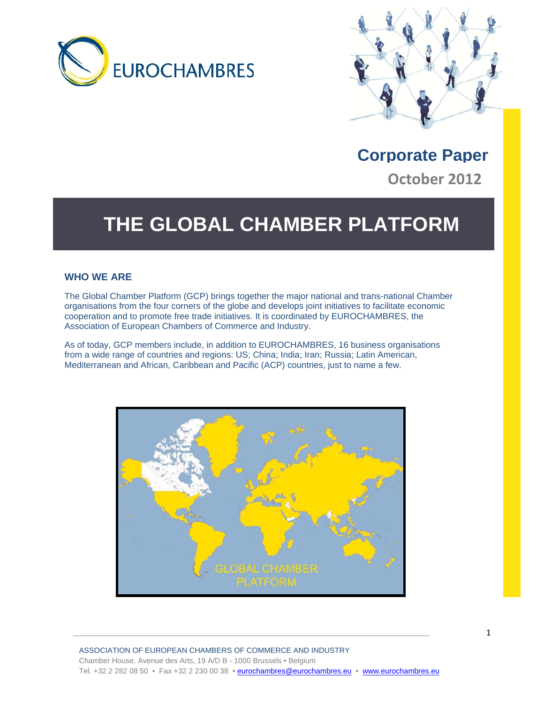



**Corporate Paper October 2012**

## **THE GLOBAL CHAMBER PLATFORM**

#### **WHO WE ARE**

The Global Chamber Platform (GCP) brings together the major national and trans-national Chamber organisations from the four corners of the globe and develops joint initiatives to facilitate economic cooperation and to promote free trade initiatives. It is coordinated by EUROCHAMBRES, the Association of European Chambers of Commerce and Industry.

As of today, GCP members include, in addition to EUROCHAMBRES, 16 business organisations from a wide range of countries and regions: US; China; India; Iran; Russia; Latin American, Mediterranean and African, Caribbean and Pacific (ACP) countries, just to name a few.

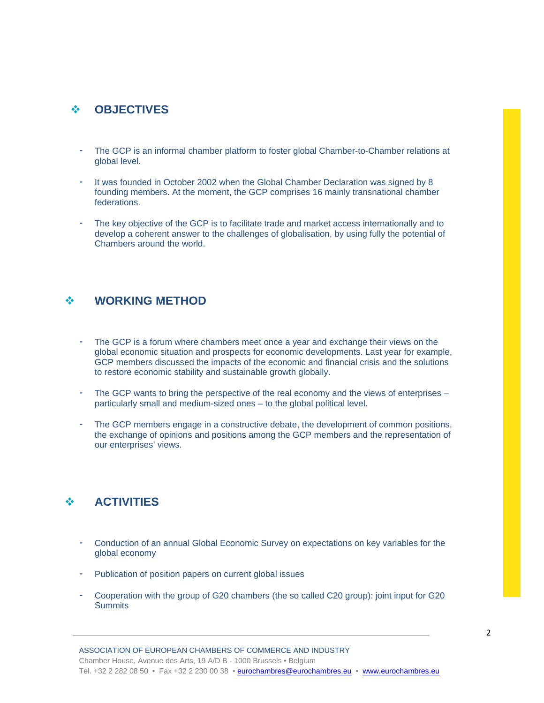#### **OBJECTIVES**

- The GCP is an informal chamber platform to foster global Chamber-to-Chamber relations at global level.
- It was founded in October 2002 when the Global Chamber Declaration was signed by 8 founding members. At the moment, the GCP comprises 16 mainly transnational chamber federations.
- The key objective of the GCP is to facilitate trade and market access internationally and to develop a coherent answer to the challenges of globalisation, by using fully the potential of Chambers around the world.

#### **WORKING METHOD**

- The GCP is a forum where chambers meet once a year and exchange their views on the global economic situation and prospects for economic developments. Last year for example, GCP members discussed the impacts of the economic and financial crisis and the solutions to restore economic stability and sustainable growth globally.
- The GCP wants to bring the perspective of the real economy and the views of enterprises particularly small and medium-sized ones – to the global political level.
- The GCP members engage in a constructive debate, the development of common positions, the exchange of opinions and positions among the GCP members and the representation of our enterprises' views.

#### **ACTIVITIES**

- Conduction of an annual Global Economic Survey on expectations on key variables for the global economy
- Publication of position papers on current global issues
- Cooperation with the group of G20 chambers (the so called C20 group): joint input for G20 **Summits**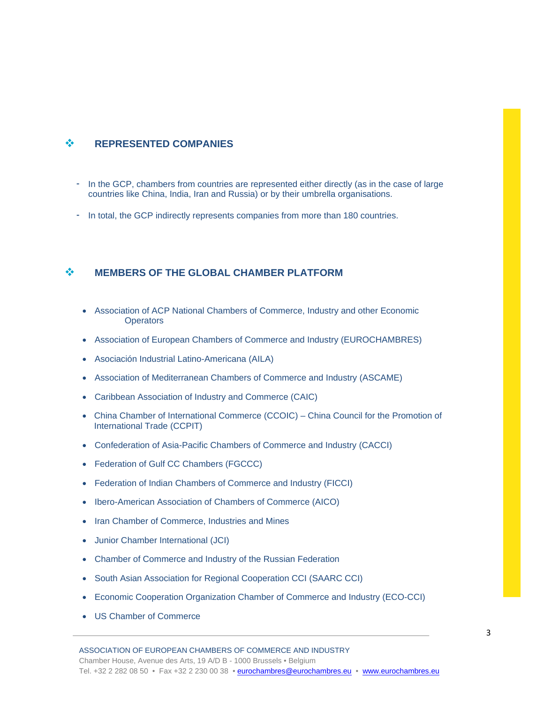#### $\div$  REPRESENTED COMPANIES

- In the GCP, chambers from countries are represented either directly (as in the case of large countries like China, India, Iran and Russia) or by their umbrella organisations.
- In total, the GCP indirectly represents companies from more than 180 countries.

#### **MEMBERS OF THE GLOBAL CHAMBER PLATFORM**

- Association of ACP National Chambers of Commerce, Industry and other Economic **Operators**
- Association of European Chambers of Commerce and Industry (EUROCHAMBRES)
- Asociación Industrial Latino-Americana (AILA)
- Association of Mediterranean Chambers of Commerce and Industry (ASCAME)
- Caribbean Association of Industry and Commerce (CAIC)
- China Chamber of International Commerce (CCOIC) China Council for the Promotion of International Trade (CCPIT)
- Confederation of Asia-Pacific Chambers of Commerce and Industry (CACCI)
- Federation of Gulf CC Chambers (FGCCC)
- Federation of Indian Chambers of Commerce and Industry (FICCI)
- Ibero-American Association of Chambers of Commerce (AICO)
- Iran Chamber of Commerce, Industries and Mines
- Junior Chamber International (JCI)
- Chamber of Commerce and Industry of the Russian Federation
- South Asian Association for Regional Cooperation CCI (SAARC CCI)
- Economic Cooperation Organization Chamber of Commerce and Industry (ECO-CCI)
- US Chamber of Commerce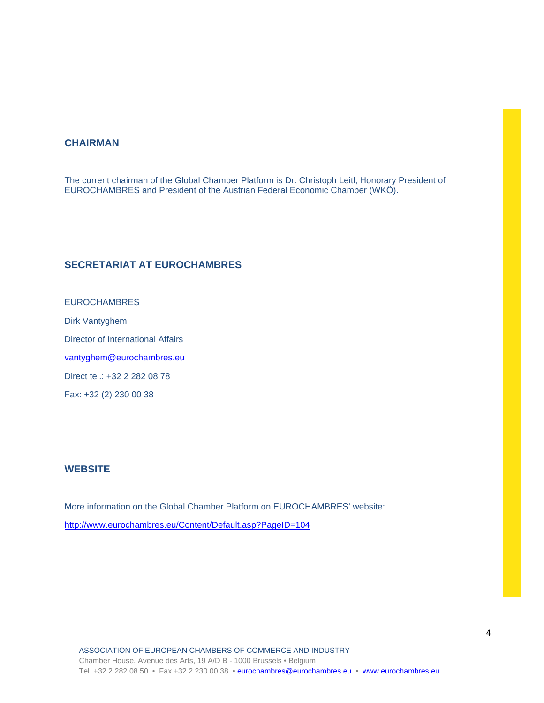#### **CHAIRMAN**

The current chairman of the Global Chamber Platform is Dr. Christoph Leitl, Honorary President of EUROCHAMBRES and President of the Austrian Federal Economic Chamber (WKÖ).

#### **SECRETARIAT AT EUROCHAMBRES**

EUROCHAMBRES Dirk Vantyghem Director of International Affairs vantyghem@eurochambres.eu Direct tel.: +32 2 282 08 78 Fax: +32 (2) 230 00 38

#### **WEBSITE**

More information on the Global Chamber Platform on EUROCHAMBRES' website: http://www.eurochambres.eu/Content/Default.asp?PageID=104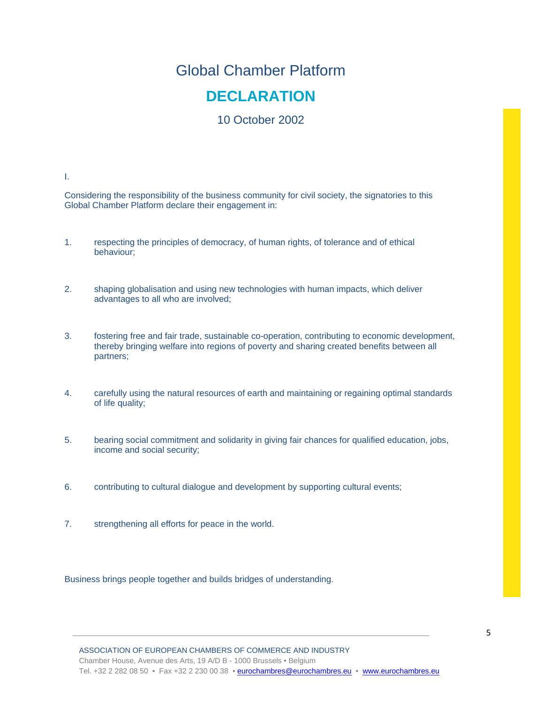## Global Chamber Platform **DECLARATION**

### 10 October 2002

I.

Considering the responsibility of the business community for civil society, the signatories to this Global Chamber Platform declare their engagement in:

- 1. respecting the principles of democracy, of human rights, of tolerance and of ethical behaviour;
- 2. shaping globalisation and using new technologies with human impacts, which deliver advantages to all who are involved;
- 3. fostering free and fair trade, sustainable co-operation, contributing to economic development, thereby bringing welfare into regions of poverty and sharing created benefits between all partners;
- 4. carefully using the natural resources of earth and maintaining or regaining optimal standards of life quality;
- 5. bearing social commitment and solidarity in giving fair chances for qualified education, jobs, income and social security;
- 6. contributing to cultural dialogue and development by supporting cultural events;
- 7. strengthening all efforts for peace in the world.

Business brings people together and builds bridges of understanding.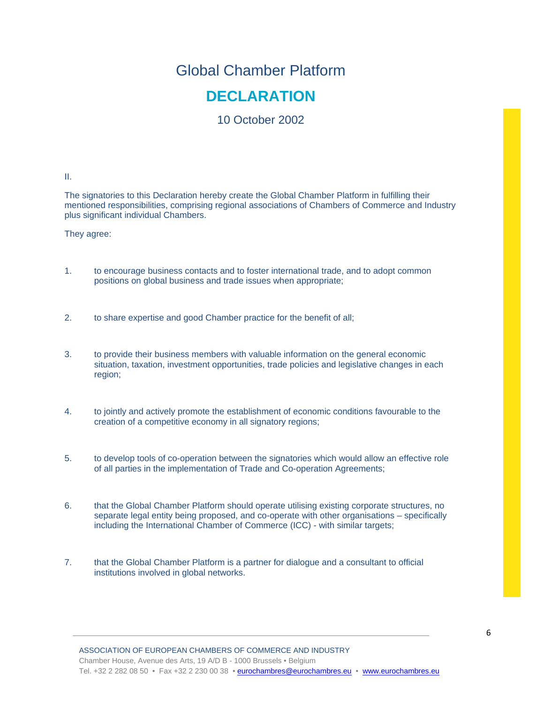# Global Chamber Platform

## **DECLARATION**

10 October 2002

II.

The signatories to this Declaration hereby create the Global Chamber Platform in fulfilling their mentioned responsibilities, comprising regional associations of Chambers of Commerce and Industry plus significant individual Chambers.

They agree:

- 1. to encourage business contacts and to foster international trade, and to adopt common positions on global business and trade issues when appropriate;
- 2. to share expertise and good Chamber practice for the benefit of all;
- 3. to provide their business members with valuable information on the general economic situation, taxation, investment opportunities, trade policies and legislative changes in each region;
- 4. to jointly and actively promote the establishment of economic conditions favourable to the creation of a competitive economy in all signatory regions;
- 5. to develop tools of co-operation between the signatories which would allow an effective role of all parties in the implementation of Trade and Co-operation Agreements;
- 6. that the Global Chamber Platform should operate utilising existing corporate structures, no separate legal entity being proposed, and co-operate with other organisations – specifically including the International Chamber of Commerce (ICC) - with similar targets;
- 7. that the Global Chamber Platform is a partner for dialogue and a consultant to official institutions involved in global networks.